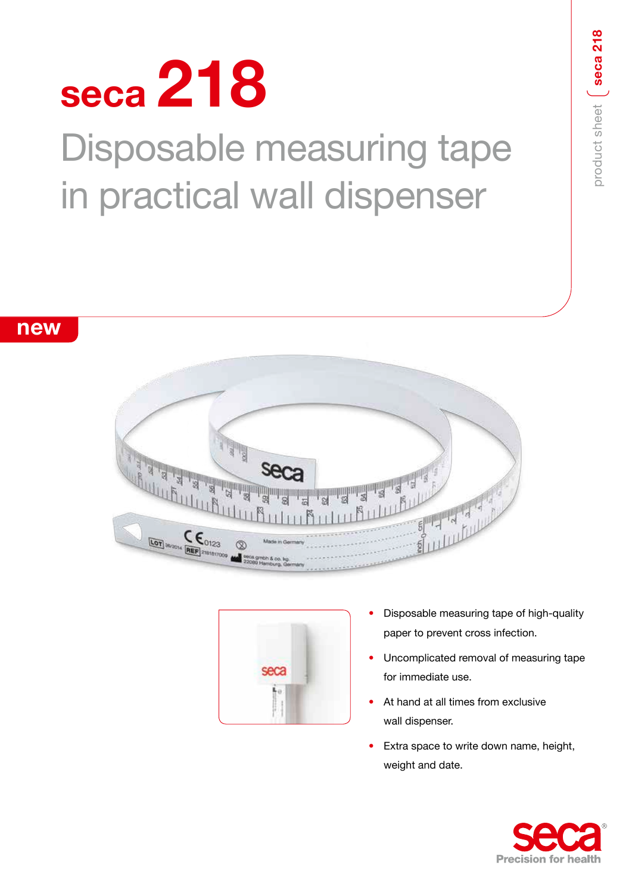# **seca 218** Disposable measuring tape in practical wall dispenser

**new**

## thu Buttu  $\underbrace{\mathsf{Cor}}_{\text{Mv2014}} \underbrace{\mathsf{C}}_{[\text{REF}]_{\text{21810}}}\mathsf{C}_{\text{23}}$



- Disposable measuring tape of high-quality paper to prevent cross infection.
- Uncomplicated removal of measuring tape for immediate use.
- At hand at all times from exclusive wall dispenser.
- Extra space to write down name, height, weight and date.



product sheet

product sheet (seca 218